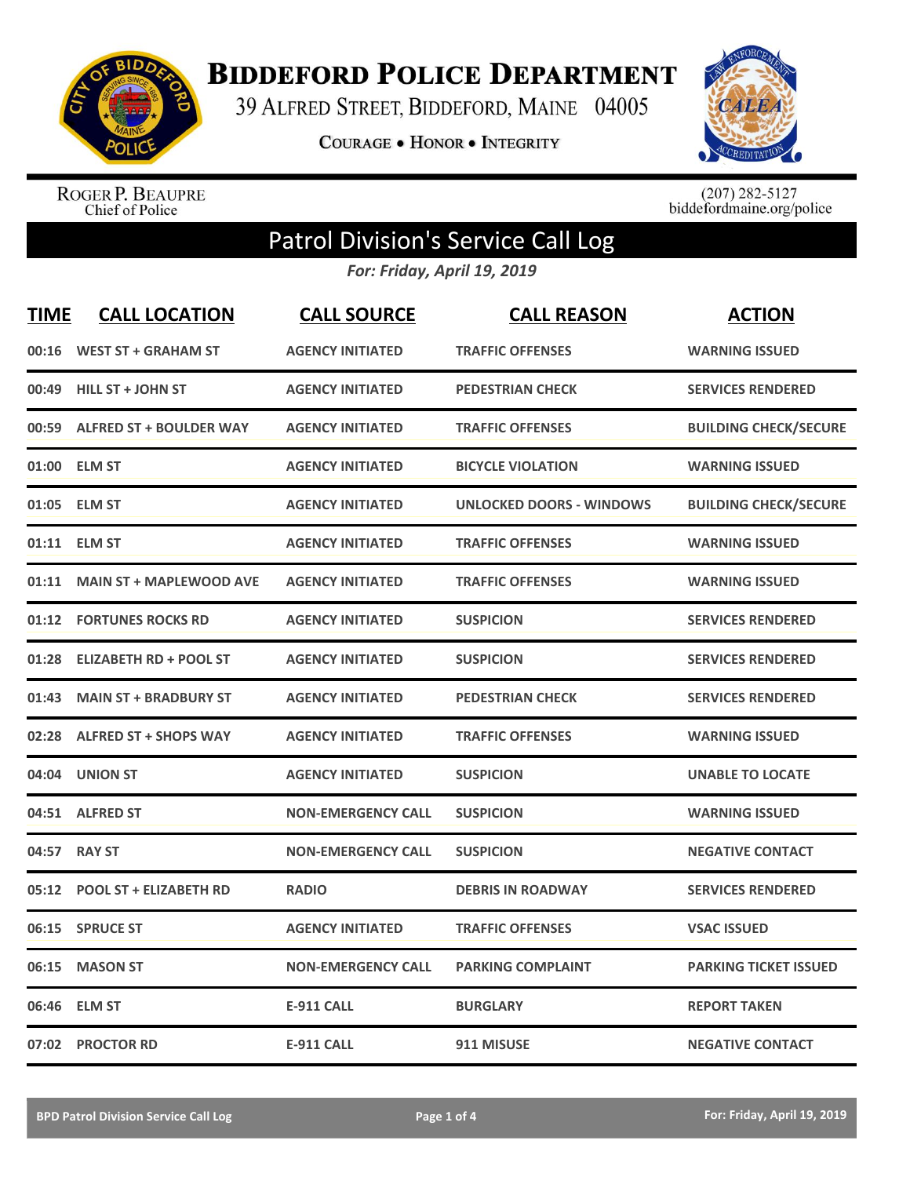

**BIDDEFORD POLICE DEPARTMENT** 

39 ALFRED STREET, BIDDEFORD, MAINE 04005

**COURAGE . HONOR . INTEGRITY** 



ROGER P. BEAUPRE<br>Chief of Police

 $(207)$  282-5127<br>biddefordmaine.org/police

## Patrol Division's Service Call Log

*For: Friday, April 19, 2019*

| <b>TIME</b> | <b>CALL LOCATION</b>           | <b>CALL SOURCE</b>        | <b>CALL REASON</b>              | <b>ACTION</b>                |
|-------------|--------------------------------|---------------------------|---------------------------------|------------------------------|
| 00:16       | <b>WEST ST + GRAHAM ST</b>     | <b>AGENCY INITIATED</b>   | <b>TRAFFIC OFFENSES</b>         | <b>WARNING ISSUED</b>        |
| 00:49       | <b>HILL ST + JOHN ST</b>       | <b>AGENCY INITIATED</b>   | <b>PEDESTRIAN CHECK</b>         | <b>SERVICES RENDERED</b>     |
| 00:59       | <b>ALFRED ST + BOULDER WAY</b> | <b>AGENCY INITIATED</b>   | <b>TRAFFIC OFFENSES</b>         | <b>BUILDING CHECK/SECURE</b> |
| 01:00       | <b>ELM ST</b>                  | <b>AGENCY INITIATED</b>   | <b>BICYCLE VIOLATION</b>        | <b>WARNING ISSUED</b>        |
| 01:05       | <b>ELM ST</b>                  | <b>AGENCY INITIATED</b>   | <b>UNLOCKED DOORS - WINDOWS</b> | <b>BUILDING CHECK/SECURE</b> |
| 01:11       | <b>ELM ST</b>                  | <b>AGENCY INITIATED</b>   | <b>TRAFFIC OFFENSES</b>         | <b>WARNING ISSUED</b>        |
| 01:11       | <b>MAIN ST + MAPLEWOOD AVE</b> | <b>AGENCY INITIATED</b>   | <b>TRAFFIC OFFENSES</b>         | <b>WARNING ISSUED</b>        |
| 01:12       | <b>FORTUNES ROCKS RD</b>       | <b>AGENCY INITIATED</b>   | <b>SUSPICION</b>                | <b>SERVICES RENDERED</b>     |
| 01:28       | <b>ELIZABETH RD + POOL ST</b>  | <b>AGENCY INITIATED</b>   | <b>SUSPICION</b>                | <b>SERVICES RENDERED</b>     |
| 01:43       | <b>MAIN ST + BRADBURY ST</b>   | <b>AGENCY INITIATED</b>   | <b>PEDESTRIAN CHECK</b>         | <b>SERVICES RENDERED</b>     |
| 02:28       | <b>ALFRED ST + SHOPS WAY</b>   | <b>AGENCY INITIATED</b>   | <b>TRAFFIC OFFENSES</b>         | <b>WARNING ISSUED</b>        |
| 04:04       | <b>UNION ST</b>                | <b>AGENCY INITIATED</b>   | <b>SUSPICION</b>                | <b>UNABLE TO LOCATE</b>      |
| 04:51       | <b>ALFRED ST</b>               | <b>NON-EMERGENCY CALL</b> | <b>SUSPICION</b>                | <b>WARNING ISSUED</b>        |
| 04:57       | <b>RAY ST</b>                  | <b>NON-EMERGENCY CALL</b> | <b>SUSPICION</b>                | <b>NEGATIVE CONTACT</b>      |
| 05:12       | <b>POOL ST + ELIZABETH RD</b>  | <b>RADIO</b>              | <b>DEBRIS IN ROADWAY</b>        | <b>SERVICES RENDERED</b>     |
| 06:15       | <b>SPRUCE ST</b>               | <b>AGENCY INITIATED</b>   | <b>TRAFFIC OFFENSES</b>         | <b>VSAC ISSUED</b>           |
| 06:15       | <b>MASON ST</b>                | <b>NON-EMERGENCY CALL</b> | <b>PARKING COMPLAINT</b>        | <b>PARKING TICKET ISSUED</b> |
| 06:46       | <b>ELM ST</b>                  | <b>E-911 CALL</b>         | <b>BURGLARY</b>                 | <b>REPORT TAKEN</b>          |
|             | 07:02 PROCTOR RD               | <b>E-911 CALL</b>         | 911 MISUSE                      | <b>NEGATIVE CONTACT</b>      |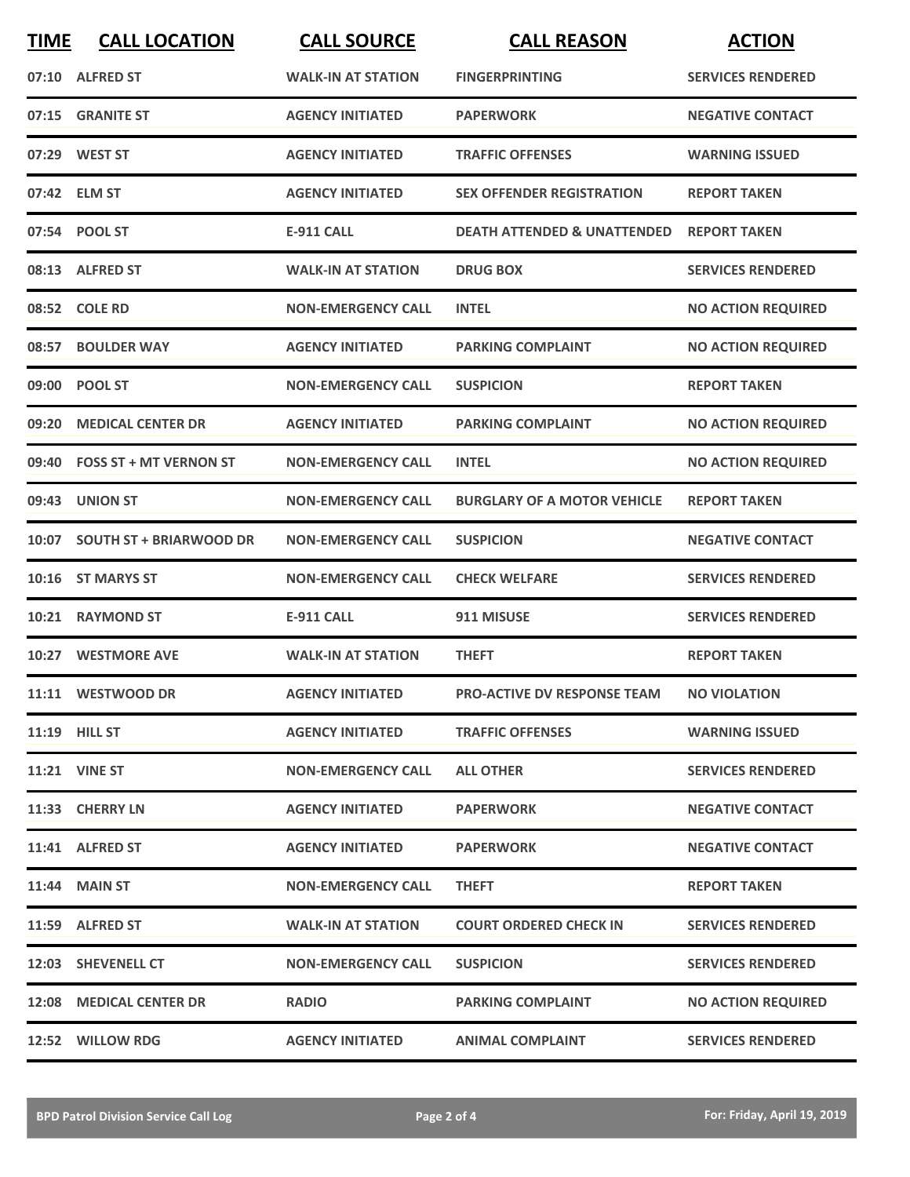| <b>TIME</b> | <b>CALL LOCATION</b>          | <b>CALL SOURCE</b>        | <b>CALL REASON</b>                     | <b>ACTION</b>             |
|-------------|-------------------------------|---------------------------|----------------------------------------|---------------------------|
|             | 07:10 ALFRED ST               | <b>WALK-IN AT STATION</b> | <b>FINGERPRINTING</b>                  | <b>SERVICES RENDERED</b>  |
|             | 07:15 GRANITE ST              | <b>AGENCY INITIATED</b>   | <b>PAPERWORK</b>                       | <b>NEGATIVE CONTACT</b>   |
|             | 07:29 WEST ST                 | <b>AGENCY INITIATED</b>   | <b>TRAFFIC OFFENSES</b>                | <b>WARNING ISSUED</b>     |
|             | 07:42 ELM ST                  | <b>AGENCY INITIATED</b>   | <b>SEX OFFENDER REGISTRATION</b>       | <b>REPORT TAKEN</b>       |
|             | 07:54 POOL ST                 | <b>E-911 CALL</b>         | <b>DEATH ATTENDED &amp; UNATTENDED</b> | <b>REPORT TAKEN</b>       |
|             | 08:13 ALFRED ST               | <b>WALK-IN AT STATION</b> | <b>DRUG BOX</b>                        | <b>SERVICES RENDERED</b>  |
|             | 08:52 COLE RD                 | <b>NON-EMERGENCY CALL</b> | <b>INTEL</b>                           | <b>NO ACTION REQUIRED</b> |
|             | 08:57 BOULDER WAY             | <b>AGENCY INITIATED</b>   | <b>PARKING COMPLAINT</b>               | <b>NO ACTION REQUIRED</b> |
| 09:00       | <b>POOL ST</b>                | <b>NON-EMERGENCY CALL</b> | <b>SUSPICION</b>                       | <b>REPORT TAKEN</b>       |
|             | 09:20 MEDICAL CENTER DR       | <b>AGENCY INITIATED</b>   | <b>PARKING COMPLAINT</b>               | <b>NO ACTION REQUIRED</b> |
|             | 09:40 FOSS ST + MT VERNON ST  | <b>NON-EMERGENCY CALL</b> | <b>INTEL</b>                           | <b>NO ACTION REQUIRED</b> |
|             | 09:43 UNION ST                | <b>NON-EMERGENCY CALL</b> | <b>BURGLARY OF A MOTOR VEHICLE</b>     | <b>REPORT TAKEN</b>       |
|             | 10:07 SOUTH ST + BRIARWOOD DR | <b>NON-EMERGENCY CALL</b> | <b>SUSPICION</b>                       | <b>NEGATIVE CONTACT</b>   |
|             | 10:16 ST MARYS ST             | <b>NON-EMERGENCY CALL</b> | <b>CHECK WELFARE</b>                   | <b>SERVICES RENDERED</b>  |
| 10:21       | <b>RAYMOND ST</b>             | <b>E-911 CALL</b>         | 911 MISUSE                             | <b>SERVICES RENDERED</b>  |
|             | 10:27 WESTMORE AVE            | <b>WALK-IN AT STATION</b> | <b>THEFT</b>                           | <b>REPORT TAKEN</b>       |
|             | 11:11 WESTWOOD DR             | <b>AGENCY INITIATED</b>   | <b>PRO-ACTIVE DV RESPONSE TEAM</b>     | <b>NO VIOLATION</b>       |
|             | 11:19 HILL ST                 | <b>AGENCY INITIATED</b>   | <b>TRAFFIC OFFENSES</b>                | <b>WARNING ISSUED</b>     |
|             | <b>11:21 VINE ST</b>          | <b>NON-EMERGENCY CALL</b> | <b>ALL OTHER</b>                       | <b>SERVICES RENDERED</b>  |
|             | 11:33 CHERRY LN               | <b>AGENCY INITIATED</b>   | <b>PAPERWORK</b>                       | <b>NEGATIVE CONTACT</b>   |
|             | 11:41 ALFRED ST               | <b>AGENCY INITIATED</b>   | <b>PAPERWORK</b>                       | <b>NEGATIVE CONTACT</b>   |
|             | <b>11:44 MAIN ST</b>          | <b>NON-EMERGENCY CALL</b> | <b>THEFT</b>                           | <b>REPORT TAKEN</b>       |
|             | 11:59 ALFRED ST               | <b>WALK-IN AT STATION</b> | <b>COURT ORDERED CHECK IN</b>          | <b>SERVICES RENDERED</b>  |
|             | 12:03 SHEVENELL CT            | <b>NON-EMERGENCY CALL</b> | <b>SUSPICION</b>                       | <b>SERVICES RENDERED</b>  |
|             | 12:08 MEDICAL CENTER DR       | <b>RADIO</b>              | <b>PARKING COMPLAINT</b>               | <b>NO ACTION REQUIRED</b> |
|             | 12:52 WILLOW RDG              | <b>AGENCY INITIATED</b>   | <b>ANIMAL COMPLAINT</b>                | <b>SERVICES RENDERED</b>  |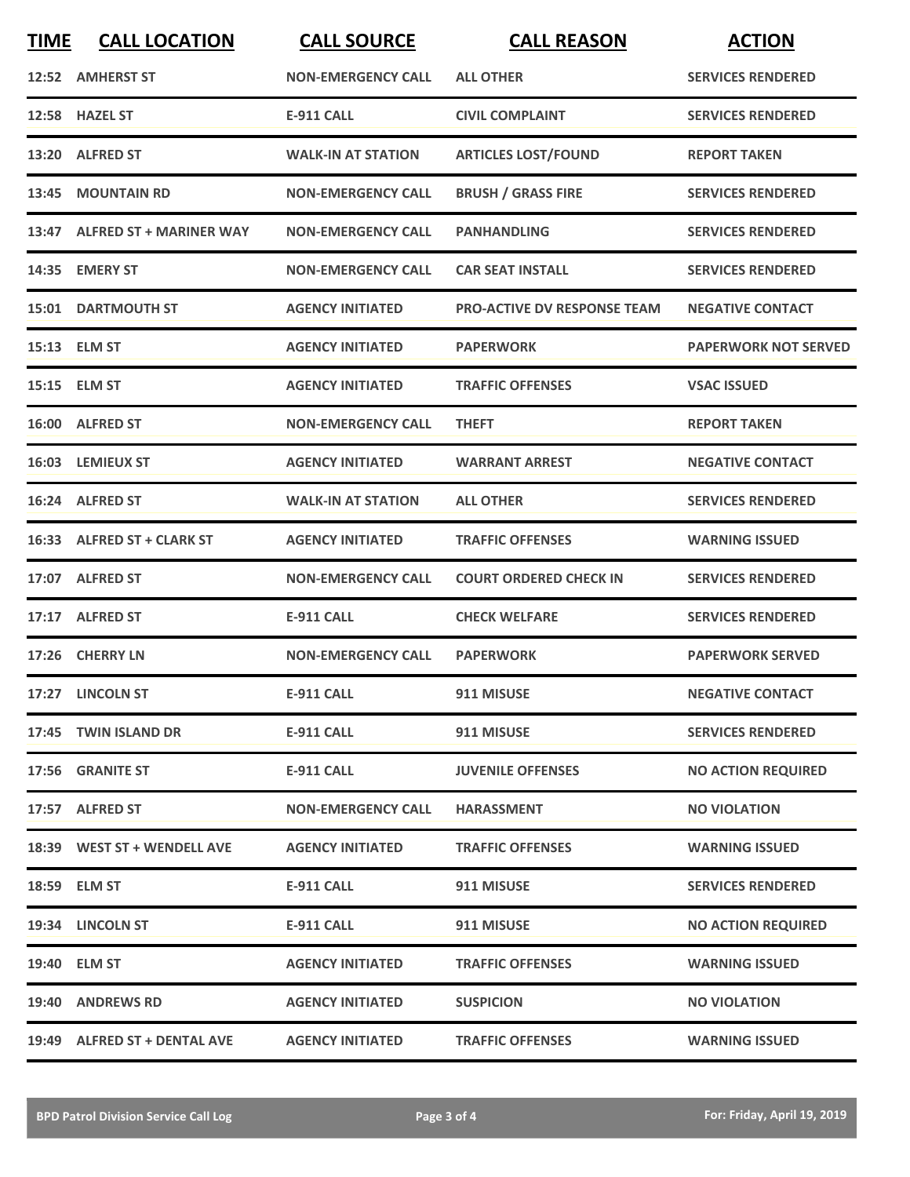| <b>TIME</b> | <b>CALL LOCATION</b>          | <b>CALL SOURCE</b>        | <b>CALL REASON</b>                 | <b>ACTION</b>               |
|-------------|-------------------------------|---------------------------|------------------------------------|-----------------------------|
|             | 12:52 AMHERST ST              | <b>NON-EMERGENCY CALL</b> | <b>ALL OTHER</b>                   | <b>SERVICES RENDERED</b>    |
|             | 12:58 HAZEL ST                | <b>E-911 CALL</b>         | <b>CIVIL COMPLAINT</b>             | <b>SERVICES RENDERED</b>    |
|             | 13:20 ALFRED ST               | <b>WALK-IN AT STATION</b> | <b>ARTICLES LOST/FOUND</b>         | <b>REPORT TAKEN</b>         |
|             | 13:45 MOUNTAIN RD             | <b>NON-EMERGENCY CALL</b> | <b>BRUSH / GRASS FIRE</b>          | <b>SERVICES RENDERED</b>    |
|             | 13:47 ALFRED ST + MARINER WAY | <b>NON-EMERGENCY CALL</b> | <b>PANHANDLING</b>                 | <b>SERVICES RENDERED</b>    |
| 14:35       | <b>EMERY ST</b>               | <b>NON-EMERGENCY CALL</b> | <b>CAR SEAT INSTALL</b>            | <b>SERVICES RENDERED</b>    |
|             | <b>15:01 DARTMOUTH ST</b>     | <b>AGENCY INITIATED</b>   | <b>PRO-ACTIVE DV RESPONSE TEAM</b> | <b>NEGATIVE CONTACT</b>     |
|             | 15:13 ELM ST                  | <b>AGENCY INITIATED</b>   | <b>PAPERWORK</b>                   | <b>PAPERWORK NOT SERVED</b> |
|             | 15:15 ELM ST                  | <b>AGENCY INITIATED</b>   | <b>TRAFFIC OFFENSES</b>            | <b>VSAC ISSUED</b>          |
|             | 16:00 ALFRED ST               | <b>NON-EMERGENCY CALL</b> | <b>THEFT</b>                       | <b>REPORT TAKEN</b>         |
|             | 16:03 LEMIEUX ST              | <b>AGENCY INITIATED</b>   | <b>WARRANT ARREST</b>              | <b>NEGATIVE CONTACT</b>     |
|             | 16:24 ALFRED ST               | <b>WALK-IN AT STATION</b> | <b>ALL OTHER</b>                   | <b>SERVICES RENDERED</b>    |
|             | 16:33 ALFRED ST + CLARK ST    | <b>AGENCY INITIATED</b>   | <b>TRAFFIC OFFENSES</b>            | <b>WARNING ISSUED</b>       |
|             | 17:07 ALFRED ST               | <b>NON-EMERGENCY CALL</b> | <b>COURT ORDERED CHECK IN</b>      | <b>SERVICES RENDERED</b>    |
|             | 17:17 ALFRED ST               | <b>E-911 CALL</b>         | <b>CHECK WELFARE</b>               | <b>SERVICES RENDERED</b>    |
|             | 17:26 CHERRY LN               | <b>NON-EMERGENCY CALL</b> | <b>PAPERWORK</b>                   | <b>PAPERWORK SERVED</b>     |
|             | 17:27 LINCOLN ST              | <b>E-911 CALL</b>         | 911 MISUSE                         | <b>NEGATIVE CONTACT</b>     |
|             | 17:45 TWIN ISLAND DR          | <b>E-911 CALL</b>         | 911 MISUSE                         | <b>SERVICES RENDERED</b>    |
|             | 17:56 GRANITE ST              | E-911 CALL                | <b>JUVENILE OFFENSES</b>           | <b>NO ACTION REQUIRED</b>   |
|             | 17:57 ALFRED ST               | <b>NON-EMERGENCY CALL</b> | <b>HARASSMENT</b>                  | <b>NO VIOLATION</b>         |
|             | 18:39 WEST ST + WENDELL AVE   | <b>AGENCY INITIATED</b>   | <b>TRAFFIC OFFENSES</b>            | <b>WARNING ISSUED</b>       |
|             | 18:59 ELM ST                  | E-911 CALL                | 911 MISUSE                         | <b>SERVICES RENDERED</b>    |
|             | 19:34 LINCOLN ST              | <b>E-911 CALL</b>         | 911 MISUSE                         | <b>NO ACTION REQUIRED</b>   |
|             | 19:40 ELM ST                  | <b>AGENCY INITIATED</b>   | <b>TRAFFIC OFFENSES</b>            | <b>WARNING ISSUED</b>       |
|             | 19:40 ANDREWS RD              | <b>AGENCY INITIATED</b>   | <b>SUSPICION</b>                   | <b>NO VIOLATION</b>         |
|             | 19:49 ALFRED ST + DENTAL AVE  | <b>AGENCY INITIATED</b>   | <b>TRAFFIC OFFENSES</b>            | <b>WARNING ISSUED</b>       |